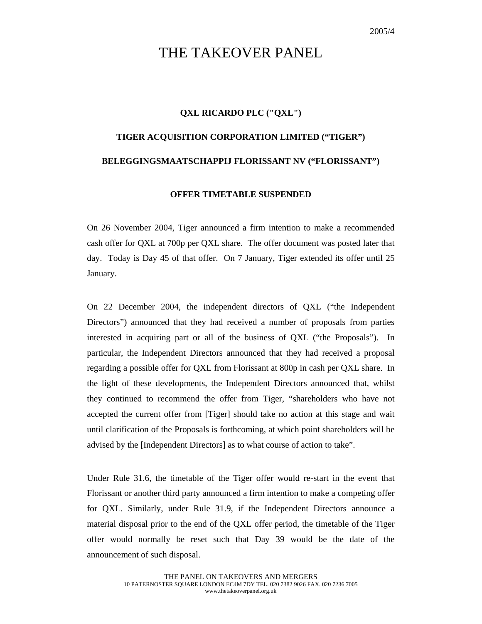## THE TAKEOVER PANEL

## **QXL RICARDO PLC ("QXL")**

## **TIGER ACQUISITION CORPORATION LIMITED ("TIGER") BELEGGINGSMAATSCHAPPIJ FLORISSANT NV ("FLORISSANT")**

## **OFFER TIMETABLE SUSPENDED**

On 26 November 2004, Tiger announced a firm intention to make a recommended cash offer for QXL at 700p per QXL share. The offer document was posted later that day. Today is Day 45 of that offer. On 7 January, Tiger extended its offer until 25 January.

On 22 December 2004, the independent directors of QXL ("the Independent Directors") announced that they had received a number of proposals from parties interested in acquiring part or all of the business of QXL ("the Proposals"). In particular, the Independent Directors announced that they had received a proposal regarding a possible offer for QXL from Florissant at 800p in cash per QXL share. In the light of these developments, the Independent Directors announced that, whilst they continued to recommend the offer from Tiger, "shareholders who have not accepted the current offer from [Tiger] should take no action at this stage and wait until clarification of the Proposals is forthcoming, at which point shareholders will be advised by the [Independent Directors] as to what course of action to take".

Under Rule 31.6, the timetable of the Tiger offer would re-start in the event that Florissant or another third party announced a firm intention to make a competing offer for QXL. Similarly, under Rule 31.9, if the Independent Directors announce a material disposal prior to the end of the QXL offer period, the timetable of the Tiger offer would normally be reset such that Day 39 would be the date of the announcement of such disposal.